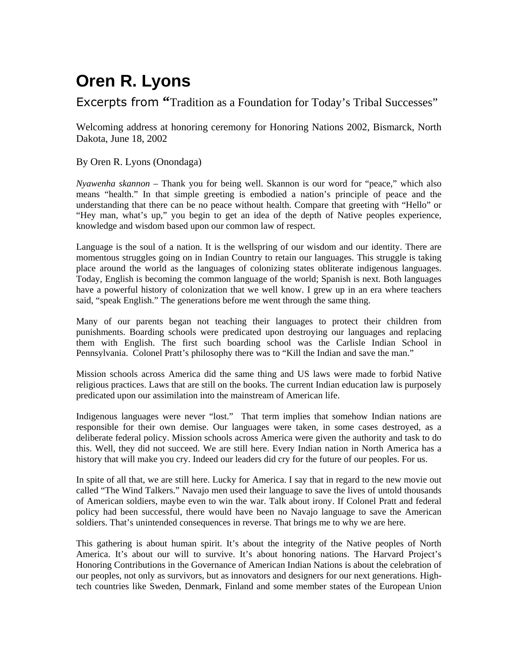## **Oren R. Lyons**

Excerpts from "Tradition as a Foundation for Today's Tribal Successes"

Welcoming address at honoring ceremony for Honoring Nations 2002, Bismarck, North Dakota, June 18, 2002

## By Oren R. Lyons (Onondaga)

*Nyawenha skannon* – Thank you for being well. Skannon is our word for "peace," which also means "health." In that simple greeting is embodied a nation's principle of peace and the understanding that there can be no peace without health. Compare that greeting with "Hello" or "Hey man, what's up," you begin to get an idea of the depth of Native peoples experience, knowledge and wisdom based upon our common law of respect.

Language is the soul of a nation. It is the wellspring of our wisdom and our identity. There are momentous struggles going on in Indian Country to retain our languages. This struggle is taking place around the world as the languages of colonizing states obliterate indigenous languages. Today, English is becoming the common language of the world; Spanish is next. Both languages have a powerful history of colonization that we well know. I grew up in an era where teachers said, "speak English." The generations before me went through the same thing.

Many of our parents began not teaching their languages to protect their children from punishments. Boarding schools were predicated upon destroying our languages and replacing them with English. The first such boarding school was the Carlisle Indian School in Pennsylvania. Colonel Pratt's philosophy there was to "Kill the Indian and save the man."

Mission schools across America did the same thing and US laws were made to forbid Native religious practices. Laws that are still on the books. The current Indian education law is purposely predicated upon our assimilation into the mainstream of American life.

Indigenous languages were never "lost." That term implies that somehow Indian nations are responsible for their own demise. Our languages were taken, in some cases destroyed, as a deliberate federal policy. Mission schools across America were given the authority and task to do this. Well, they did not succeed. We are still here. Every Indian nation in North America has a history that will make you cry. Indeed our leaders did cry for the future of our peoples. For us.

In spite of all that, we are still here. Lucky for America. I say that in regard to the new movie out called "The Wind Talkers." Navajo men used their language to save the lives of untold thousands of American soldiers, maybe even to win the war. Talk about irony. If Colonel Pratt and federal policy had been successful, there would have been no Navajo language to save the American soldiers. That's unintended consequences in reverse. That brings me to why we are here.

This gathering is about human spirit. It's about the integrity of the Native peoples of North America. It's about our will to survive. It's about honoring nations. The Harvard Project's Honoring Contributions in the Governance of American Indian Nations is about the celebration of our peoples, not only as survivors, but as innovators and designers for our next generations. Hightech countries like Sweden, Denmark, Finland and some member states of the European Union